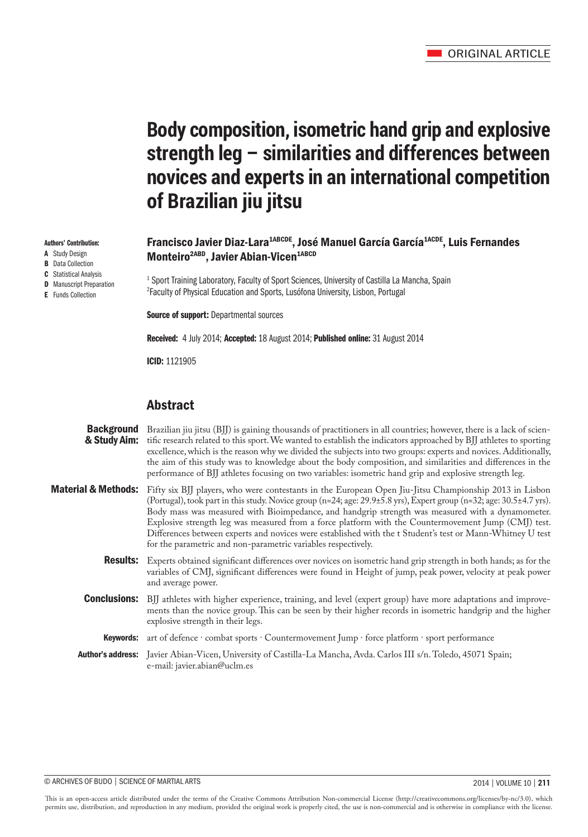# **Body composition, isometric hand grip and explosive strength leg – similarities and differences between novices and experts in an international competition of Brazilian jiu jitsu**

# Francisco Javier Diaz-Lara<sup>1ABCDE</sup>, José Manuel García García<sup>1ACDE</sup>, Luis Fernandes Monteiro<sup>2ABD</sup>, Javier Abian-Vicen<sup>1ABCD</sup>

<sup>1</sup> Sport Training Laboratory, Faculty of Sport Sciences, University of Castilla La Mancha, Spain 2 Faculty of Physical Education and Sports, Lusófona University, Lisbon, Portugal

**Source of support: Departmental sources** 

Received: 4 July 2014; Accepted: 18 August 2014; Published online: 31 August 2014

ICID: 1121905

# **Abstract**

| <b>Background</b><br>& Study Aim: | Brazilian jiu jitsu (BJJ) is gaining thousands of practitioners in all countries; however, there is a lack of scien-<br>tific research related to this sport. We wanted to establish the indicators approached by BJJ athletes to sporting<br>excellence, which is the reason why we divided the subjects into two groups: experts and novices. Additionally,<br>the aim of this study was to knowledge about the body composition, and similarities and differences in the<br>performance of BJJ athletes focusing on two variables: isometric hand grip and explosive strength leg.                                                       |
|-----------------------------------|---------------------------------------------------------------------------------------------------------------------------------------------------------------------------------------------------------------------------------------------------------------------------------------------------------------------------------------------------------------------------------------------------------------------------------------------------------------------------------------------------------------------------------------------------------------------------------------------------------------------------------------------|
|                                   | Material & Methods: Fifty six BJJ players, who were contestants in the European Open Jiu-Jitsu Championship 2013 in Lisbon<br>(Portugal), took part in this study. Novice group (n=24; age: 29.9±5.8 yrs), Expert group (n=32; age: 30.5±4.7 yrs).<br>Body mass was measured with Bioimpedance, and handgrip strength was measured with a dynamometer.<br>Explosive strength leg was measured from a force platform with the Countermovement Jump (CMJ) test.<br>Differences between experts and novices were established with the t Student's test or Mann-Whitney U test<br>for the parametric and non-parametric variables respectively. |
|                                   | <b>Results:</b> Experts obtained significant differences over novices on isometric hand grip strength in both hands; as for the<br>variables of CMJ, significant differences were found in Height of jump, peak power, velocity at peak power<br>and average power.                                                                                                                                                                                                                                                                                                                                                                         |
|                                   | <b>Conclusions:</b> BJJ athletes with higher experience, training, and level (expert group) have more adaptations and improve-<br>ments than the novice group. This can be seen by their higher records in isometric handgrip and the higher<br>explosive strength in their legs.                                                                                                                                                                                                                                                                                                                                                           |
|                                   | Keywords: art of defence · combat sports · Countermovement Jump · force platform · sport performance                                                                                                                                                                                                                                                                                                                                                                                                                                                                                                                                        |
|                                   | Author's address: Javier Abian-Vicen, University of Castilla-La Mancha, Avda. Carlos III s/n. Toledo, 45071 Spain;<br>e-mail: javier.abian@uclm.es                                                                                                                                                                                                                                                                                                                                                                                                                                                                                          |
|                                   |                                                                                                                                                                                                                                                                                                                                                                                                                                                                                                                                                                                                                                             |

This is an open-access article distributed under the terms of the Creative Commons Attribution Non-commercial License (http://creativecommons.org/licenses/by-nc/3.0), which permits use, distribution, and reproduction in any medium, provided the original work is properly cited, the use is non-commercial and is otherwise in compliance with the license.

Authors' Contribution:

- A Study Design **B** Data Collection
- C Statistical Analysis
- **D** Manuscript Preparation
- E Funds Collection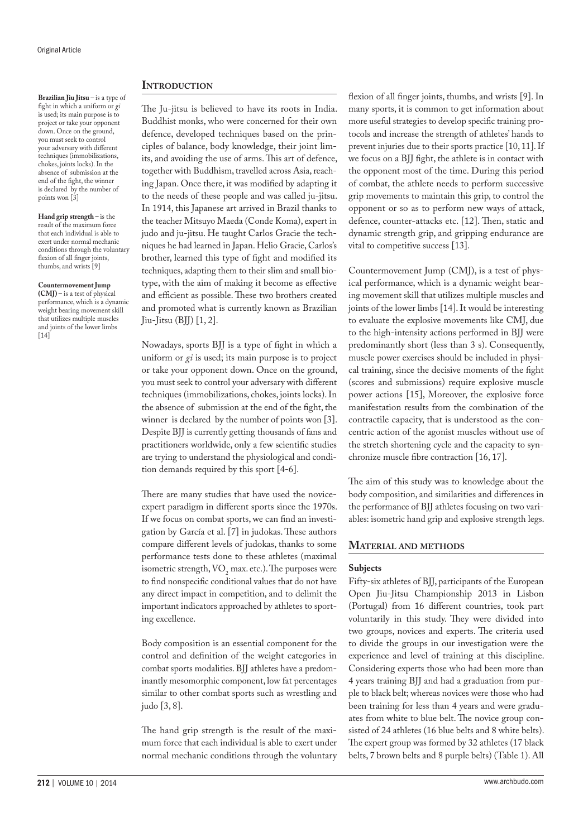**Brazilian Jiu Jitsu –** is a type of fight in which a uniform or *gi* is used; its main purpose is to project or take your opponent down. Once on the ground, you must seek to control your adversary with different techniques (immobilizations, chokes, joints locks). In the absence of submission at the end of the fight, the winner is declared by the number of points won [3]

**Hand grip strength –** is the result of the maximum force that each individual is able to exert under normal mechanic conditions through the voluntary flexion of all finger joints, thumbs, and wrists [9]

#### **Countermovement Jump**

**(CMJ) –** is a test of physical performance, which is a dynamic weight bearing movement skill that utilizes multiple muscles and joints of the lower limbs  $[14]$ 

# **INTRODUCTION**

The Ju-jitsu is believed to have its roots in India. Buddhist monks, who were concerned for their own defence, developed techniques based on the principles of balance, body knowledge, their joint limits, and avoiding the use of arms. This art of defence, together with Buddhism, travelled across Asia, reaching Japan. Once there, it was modified by adapting it to the needs of these people and was called ju-jitsu. In 1914, this Japanese art arrived in Brazil thanks to the teacher Mitsuyo Maeda (Conde Koma), expert in judo and ju-jitsu. He taught Carlos Gracie the techniques he had learned in Japan. Helio Gracie, Carlos's brother, learned this type of fight and modified its techniques, adapting them to their slim and small biotype, with the aim of making it become as effective and efficient as possible. These two brothers created and promoted what is currently known as Brazilian  $Jiu-Jitsu$  (BJJ)  $[1, 2]$ .

Nowadays, sports BJJ is a type of fight in which a uniform or *gi* is used; its main purpose is to project or take your opponent down. Once on the ground, you must seek to control your adversary with different techniques (immobilizations, chokes, joints locks). In the absence of submission at the end of the fight, the winner is declared by the number of points won [3]. Despite BJJ is currently getting thousands of fans and practitioners worldwide, only a few scientific studies are trying to understand the physiological and condition demands required by this sport [4-6].

There are many studies that have used the noviceexpert paradigm in different sports since the 1970s. If we focus on combat sports, we can find an investigation by García et al. [7] in judokas. These authors compare different levels of judokas, thanks to some performance tests done to these athletes (maximal isometric strength,  $VO<sub>2</sub>$  max. etc.). The purposes were to find nonspecific conditional values that do not have any direct impact in competition, and to delimit the important indicators approached by athletes to sporting excellence.

Body composition is an essential component for the control and definition of the weight categories in combat sports modalities. BJJ athletes have a predominantly mesomorphic component, low fat percentages similar to other combat sports such as wrestling and judo [3, 8].

The hand grip strength is the result of the maximum force that each individual is able to exert under normal mechanic conditions through the voluntary flexion of all finger joints, thumbs, and wrists [9]. In many sports, it is common to get information about more useful strategies to develop specific training protocols and increase the strength of athletes' hands to prevent injuries due to their sports practice [10, 11]. If we focus on a BJJ fight, the athlete is in contact with the opponent most of the time. During this period of combat, the athlete needs to perform successive grip movements to maintain this grip, to control the opponent or so as to perform new ways of attack, defence, counter-attacks etc. [12]. Then, static and dynamic strength grip, and gripping endurance are vital to competitive success [13].

Countermovement Jump (CMJ), is a test of physical performance, which is a dynamic weight bearing movement skill that utilizes multiple muscles and joints of the lower limbs [14]. It would be interesting to evaluate the explosive movements like CMJ, due to the high-intensity actions performed in BJJ were predominantly short (less than 3 s). Consequently, muscle power exercises should be included in physical training, since the decisive moments of the fight (scores and submissions) require explosive muscle power actions [15], Moreover, the explosive force manifestation results from the combination of the contractile capacity, that is understood as the concentric action of the agonist muscles without use of the stretch shortening cycle and the capacity to synchronize muscle fibre contraction [16, 17].

The aim of this study was to knowledge about the body composition, and similarities and differences in the performance of BJJ athletes focusing on two variables: isometric hand grip and explosive strength legs.

# **Material and methods**

# **Subjects**

Fifty-six athletes of BJJ, participants of the European Open Jiu-Jitsu Championship 2013 in Lisbon (Portugal) from 16 different countries, took part voluntarily in this study. They were divided into two groups, novices and experts. The criteria used to divide the groups in our investigation were the experience and level of training at this discipline. Considering experts those who had been more than 4 years training BJJ and had a graduation from purple to black belt; whereas novices were those who had been training for less than 4 years and were graduates from white to blue belt. The novice group consisted of 24 athletes (16 blue belts and 8 white belts). The expert group was formed by 32 athletes (17 black belts, 7 brown belts and 8 purple belts) (Table 1). All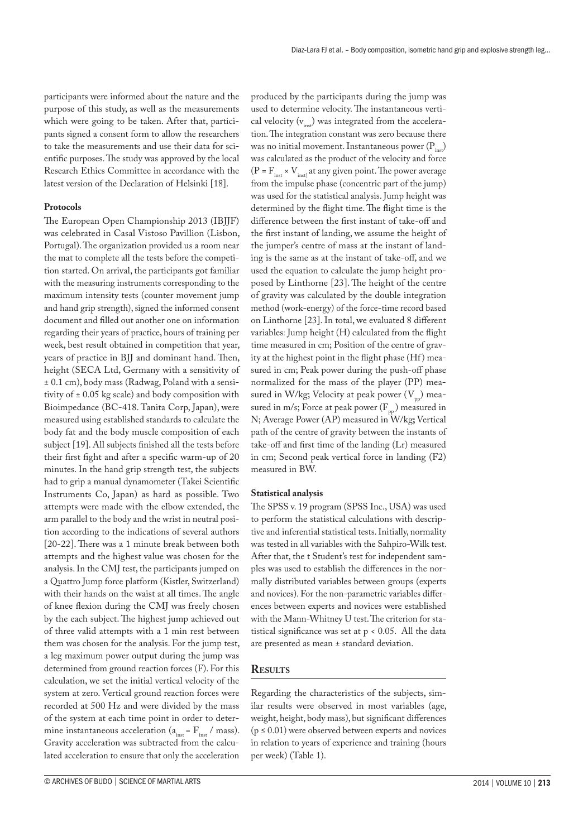participants were informed about the nature and the purpose of this study, as well as the measurements which were going to be taken. After that, participants signed a consent form to allow the researchers to take the measurements and use their data for scientific purposes. The study was approved by the local Research Ethics Committee in accordance with the latest version of the Declaration of Helsinki [18].

## **Protocols**

The European Open Championship 2013 (IBJJF) was celebrated in Casal Vistoso Pavillion (Lisbon, Portugal). The organization provided us a room near the mat to complete all the tests before the competition started. On arrival, the participants got familiar with the measuring instruments corresponding to the maximum intensity tests (counter movement jump and hand grip strength), signed the informed consent document and filled out another one on information regarding their years of practice, hours of training per week, best result obtained in competition that year, years of practice in BJJ and dominant hand. Then, height (SECA Ltd, Germany with a sensitivity of ± 0.1 cm), body mass (Radwag, Poland with a sensitivity of  $\pm$  0.05 kg scale) and body composition with Bioimpedance (BC-418. Tanita Corp, Japan), were measured using established standards to calculate the body fat and the body muscle composition of each subject [19]. All subjects finished all the tests before their first fight and after a specific warm-up of 20 minutes. In the hand grip strength test, the subjects had to grip a manual dynamometer (Takei Scientific Instruments Co, Japan) as hard as possible. Two attempts were made with the elbow extended, the arm parallel to the body and the wrist in neutral position according to the indications of several authors [20-22]. There was a 1 minute break between both attempts and the highest value was chosen for the analysis. In the CMJ test, the participants jumped on a Quattro Jump force platform (Kistler, Switzerland) with their hands on the waist at all times. The angle of knee flexion during the CMJ was freely chosen by the each subject. The highest jump achieved out of three valid attempts with a 1 min rest between them was chosen for the analysis. For the jump test, a leg maximum power output during the jump was determined from ground reaction forces (F). For this calculation, we set the initial vertical velocity of the system at zero. Vertical ground reaction forces were recorded at 500 Hz and were divided by the mass of the system at each time point in order to determine instantaneous acceleration ( $a_{\text{inst}} = F_{\text{inst}}/$  mass). Gravity acceleration was subtracted from the calculated acceleration to ensure that only the acceleration

produced by the participants during the jump was used to determine velocity. The instantaneous vertical velocity  $(v_{inc})$  was integrated from the acceleration. The integration constant was zero because there was no initial movement. Instantaneous power  $(P_{i,j})$ was calculated as the product of the velocity and force (P =  $F_{inst}$  ×  $V_{inst}$ ) at any given point. The power average from the impulse phase (concentric part of the jump) was used for the statistical analysis. Jump height was determined by the flight time. The flight time is the difference between the first instant of take-off and the first instant of landing, we assume the height of the jumper's centre of mass at the instant of landing is the same as at the instant of take-off, and we used the equation to calculate the jump height proposed by Linthorne [23]. The height of the centre of gravity was calculated by the double integration method (work-energy) of the force-time record based on Linthorne [23]. In total, we evaluated 8 different variables: Jump height (H) calculated from the flight time measured in cm; Position of the centre of gravity at the highest point in the flight phase (Hf) measured in cm; Peak power during the push-off phase normalized for the mass of the player (PP) measured in W/kg; Velocity at peak power  $(V_{pp})$  measured in m/s; Force at peak power ( $F_{pp}$ ) measured in N; Average Power (AP) measured in W/kg**;** Vertical path of the centre of gravity between the instants of take-off and first time of the landing (Lr) measured in cm; Second peak vertical force in landing (F2) measured in BW.

#### **Statistical analysis**

The SPSS v. 19 program (SPSS Inc., USA) was used to perform the statistical calculations with descriptive and inferential statistical tests. Initially, normality was tested in all variables with the Sahpiro-Wilk test. After that, the t Student's test for independent samples was used to establish the differences in the normally distributed variables between groups (experts and novices). For the non-parametric variables differences between experts and novices were established with the Mann-Whitney U test. The criterion for statistical significance was set at  $p < 0.05$ . All the data are presented as mean ± standard deviation.

# **Results**

Regarding the characteristics of the subjects, similar results were observed in most variables (age, weight, height, body mass), but significant differences  $(p \le 0.01)$  were observed between experts and novices in relation to years of experience and training (hours per week) (Table 1).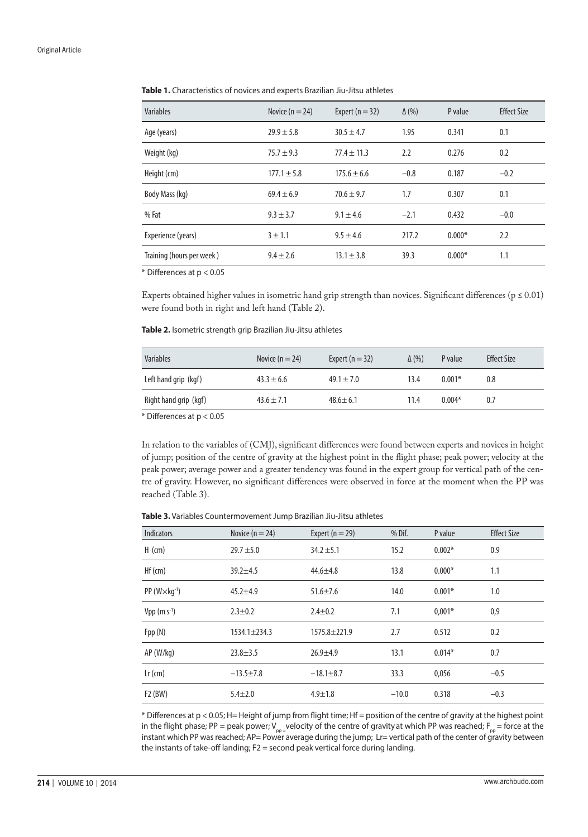#### Original Article

**Table 1.** Characteristics of novices and experts Brazilian Jiu-Jitsu athletes

| <b>Variables</b>          | Novice ( $n = 24$ ) | Expert ( $n = 32$ ) | $\Delta$ (%) | P value  | <b>Effect Size</b> |
|---------------------------|---------------------|---------------------|--------------|----------|--------------------|
| Age (years)               | $29.9 \pm 5.8$      | $30.5 \pm 4.7$      | 1.95         | 0.341    | 0.1                |
| Weight (kg)               | $75.7 \pm 9.3$      | $77.4 \pm 11.3$     | 2.2          | 0.276    | 0.2                |
| Height (cm)               | $177.1 \pm 5.8$     | $175.6 \pm 6.6$     | $-0.8$       | 0.187    | $-0.2$             |
| Body Mass (kg)            | $69.4 \pm 6.9$      | $70.6 \pm 9.7$      | 1.7          | 0.307    | 0.1                |
| % Fat                     | $9.3 \pm 3.7$       | $9.1 \pm 4.6$       | $-2.1$       | 0.432    | $-0.0$             |
| Experience (years)        | $3 + 1.1$           | $9.5 \pm 4.6$       | 217.2        | $0.000*$ | 2.2                |
| Training (hours per week) | $9.4 \pm 2.6$       | $13.1 \pm 3.8$      | 39.3         | $0.000*$ | 1.1                |

\* Differences at p < 0.05

Experts obtained higher values in isometric hand grip strength than novices. Significant differences ( $p \le 0.01$ ) were found both in right and left hand (Table 2).

**Table 2.** Isometric strength grip Brazilian Jiu-Jitsu athletes

| Variables             | Novice $(n = 24)$ | Expert $(n = 32)$ | $\Delta$ (%) | P value  | <b>Effect Size</b> |
|-----------------------|-------------------|-------------------|--------------|----------|--------------------|
| Left hand grip (kgf)  | $43.3 \pm 6.6$    | $49.1 \pm 7.0$    | 13.4         | $0.001*$ | 0.8                |
| Right hand grip (kgf) | $43.6 \pm 7.1$    | $48.6 \pm 6.1$    | 11.4         | $0.004*$ | 0.7                |

\* Differences at p < 0.05

In relation to the variables of (CMJ), significant differences were found between experts and novices in height of jump; position of the centre of gravity at the highest point in the flight phase; peak power; velocity at the peak power; average power and a greater tendency was found in the expert group for vertical path of the centre of gravity. However, no significant differences were observed in force at the moment when the PP was reached (Table 3).

| Table 3. Variables Countermovement Jump Brazilian Jiu-Jitsu athletes |  |
|----------------------------------------------------------------------|--|
|----------------------------------------------------------------------|--|

| <b>Indicators</b>          | Novice $(n = 24)$  | Expert ( $n = 29$ ) | % Dif.  | P value  | <b>Effect Size</b> |
|----------------------------|--------------------|---------------------|---------|----------|--------------------|
| $H$ (cm)                   | $29.7 + 5.0$       | $34.2 \pm 5.1$      | 15.2    | $0.002*$ | 0.9                |
| Hf (cm)                    | $39.2 + 4.5$       | $44.6 \pm 4.8$      | 13.8    | $0.000*$ | 1.1                |
| $PP (W \times kq^{-1})$    | $45.2 + 4.9$       | $51.6 \pm 7.6$      | 14.0    | $0.001*$ | 1.0                |
| $Vpp$ (m s <sup>-1</sup> ) | $2.3 \pm 0.2$      | $2.4 \pm 0.2$       | 7.1     | $0.001*$ | 0,9                |
| Fpp(N)                     | $1534.1 \pm 234.3$ | $1575.8 \pm 221.9$  | 2.7     | 0.512    | 0.2                |
| AP (W/kg)                  | $23.8 \pm 3.5$     | $26.9 + 4.9$        | 13.1    | $0.014*$ | 0.7                |
| $Lr$ (cm)                  | $-13.5 \pm 7.8$    | $-18.1 \pm 8.7$     | 33.3    | 0,056    | $-0.5$             |
| F2 (BW)                    | $5.4 + 2.0$        | $4.9 \pm 1.8$       | $-10.0$ | 0.318    | $-0.3$             |

\* Differences at p < 0.05; H= Height of jump from flight time; Hf = position of the centre of gravity at the highest point in the flight phase; PP = peak power;  $V_{po}$  velocity of the centre of gravity at which PP was reached;  $F_{po}$  = force at the instant which PP was reached; AP= Power average during the jump; Lr= vertical path of the center of gravity between the instants of take-off landing; F2 = second peak vertical force during landing.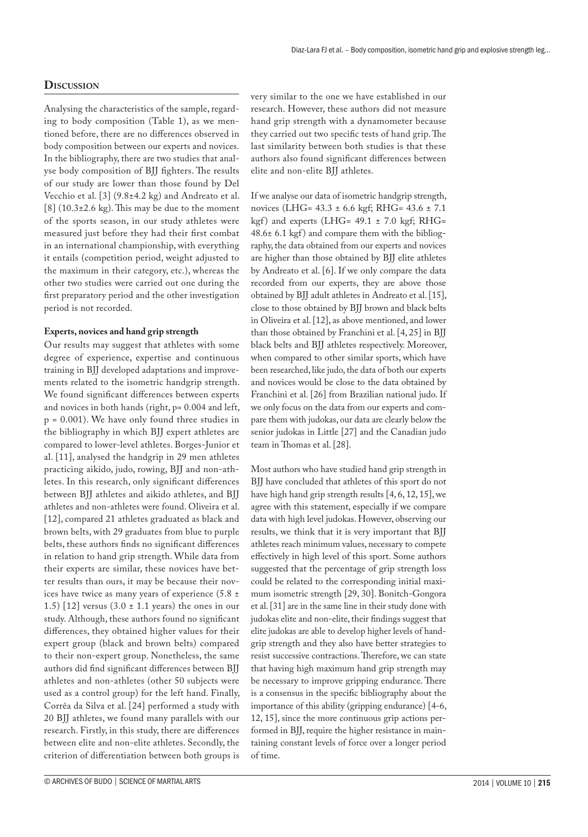# **Discussion**

Analysing the characteristics of the sample, regarding to body composition (Table 1), as we mentioned before, there are no differences observed in body composition between our experts and novices. In the bibliography, there are two studies that analyse body composition of BJJ fighters. The results of our study are lower than those found by Del Vecchio et al. [3] (9.8±4.2 kg) and Andreato et al.  $[8]$  (10.3 $\pm$ 2.6 kg). This may be due to the moment of the sports season, in our study athletes were measured just before they had their first combat in an international championship, with everything it entails (competition period, weight adjusted to the maximum in their category, etc.), whereas the other two studies were carried out one during the first preparatory period and the other investigation period is not recorded.

# **Experts, novices and hand grip strength**

Our results may suggest that athletes with some degree of experience, expertise and continuous training in BJJ developed adaptations and improvements related to the isometric handgrip strength. We found significant differences between experts and novices in both hands (right, p= 0.004 and left, p = 0.001). We have only found three studies in the bibliography in which BJJ expert athletes are compared to lower-level athletes. Borges-Junior et al. [11], analysed the handgrip in 29 men athletes practicing aikido, judo, rowing, BJJ and non-athletes. In this research, only significant differences between BJJ athletes and aikido athletes, and BJJ athletes and non-athletes were found. Oliveira et al. [12], compared 21 athletes graduated as black and brown belts, with 29 graduates from blue to purple belts, these authors finds no significant differences in relation to hand grip strength. While data from their experts are similar, these novices have better results than ours, it may be because their novices have twice as many years of experience  $(5.8 \pm$ 1.5) [12] versus  $(3.0 \pm 1.1 \text{ years})$  the ones in our study. Although, these authors found no significant differences, they obtained higher values for their expert group (black and brown belts) compared to their non-expert group. Nonetheless, the same authors did find significant differences between BJJ athletes and non-athletes (other 50 subjects were used as a control group) for the left hand. Finally, Corrêa da Silva et al. [24] performed a study with 20 BJJ athletes, we found many parallels with our research. Firstly, in this study, there are differences between elite and non-elite athletes. Secondly, the criterion of differentiation between both groups is

very similar to the one we have established in our research. However, these authors did not measure hand grip strength with a dynamometer because they carried out two specific tests of hand grip. The last similarity between both studies is that these authors also found significant differences between elite and non-elite BJJ athletes.

If we analyse our data of isometric handgrip strength, novices (LHG= 43.3 ± 6.6 kgf; RHG= 43.6 ± 7.1 kgf) and experts (LHG=  $49.1 \pm 7.0$  kgf; RHG=  $48.6 \pm 6.1$  kgf) and compare them with the bibliography, the data obtained from our experts and novices are higher than those obtained by BJJ elite athletes by Andreato et al. [6]. If we only compare the data recorded from our experts, they are above those obtained by BJJ adult athletes in Andreato et al. [15], close to those obtained by BJJ brown and black belts in Oliveira et al. [12], as above mentioned, and lower than those obtained by Franchini et al. [4, 25] in BJJ black belts and BJJ athletes respectively. Moreover, when compared to other similar sports, which have been researched, like judo, the data of both our experts and novices would be close to the data obtained by Franchini et al. [26] from Brazilian national judo. If we only focus on the data from our experts and compare them with judokas, our data are clearly below the senior judokas in Little [27] and the Canadian judo team in Thomas et al. [28].

Most authors who have studied hand grip strength in BJJ have concluded that athletes of this sport do not have high hand grip strength results [4, 6, 12, 15], we agree with this statement, especially if we compare data with high level judokas. However, observing our results, we think that it is very important that BJJ athletes reach minimum values, necessary to compete effectively in high level of this sport. Some authors suggested that the percentage of grip strength loss could be related to the corresponding initial maximum isometric strength [29, 30]. Bonitch-Gongora et al. [31] are in the same line in their study done with judokas elite and non-elite, their findings suggest that elite judokas are able to develop higher levels of handgrip strength and they also have better strategies to resist successive contractions. Therefore, we can state that having high maximum hand grip strength may be necessary to improve gripping endurance. There is a consensus in the specific bibliography about the importance of this ability (gripping endurance) [4-6, 12, 15], since the more continuous grip actions performed in BJJ, require the higher resistance in maintaining constant levels of force over a longer period of time.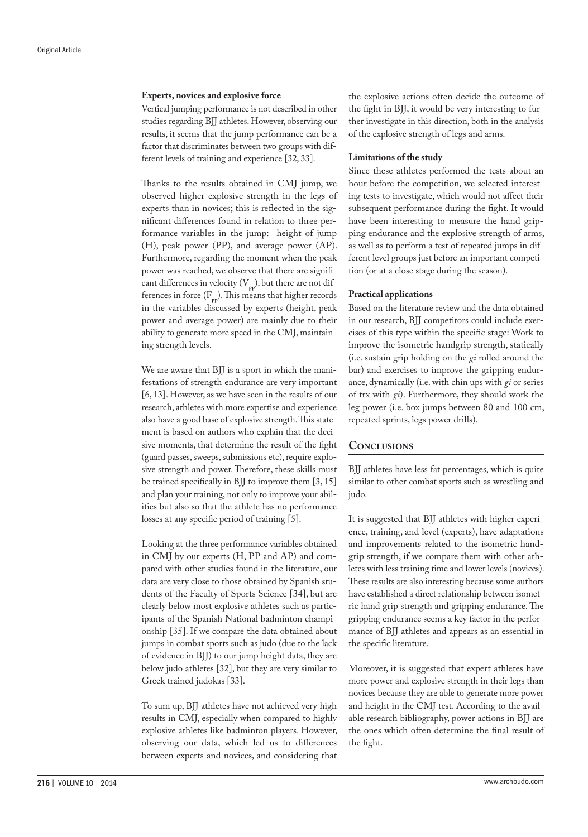#### **Experts, novices and explosive force**

Vertical jumping performance is not described in other studies regarding BJJ athletes. However, observing our results, it seems that the jump performance can be a factor that discriminates between two groups with different levels of training and experience [32, 33].

Thanks to the results obtained in CMJ jump, we observed higher explosive strength in the legs of experts than in novices; this is reflected in the significant differences found in relation to three performance variables in the jump: height of jump (H), peak power (PP), and average power (AP). Furthermore, regarding the moment when the peak power was reached, we observe that there are significant differences in velocity (V**pp**), but there are not differences in force  $(F_{\text{pp}})$ . This means that higher records in the variables discussed by experts (height, peak power and average power) are mainly due to their ability to generate more speed in the CMJ, maintaining strength levels.

We are aware that BJJ is a sport in which the manifestations of strength endurance are very important [6, 13]. However, as we have seen in the results of our research, athletes with more expertise and experience also have a good base of explosive strength. This statement is based on authors who explain that the decisive moments, that determine the result of the fight (guard passes, sweeps, submissions etc), require explosive strength and power. Therefore, these skills must be trained specifically in BJJ to improve them [3, 15] and plan your training, not only to improve your abilities but also so that the athlete has no performance losses at any specific period of training [5].

Looking at the three performance variables obtained in CMJ by our experts (H, PP and AP) and compared with other studies found in the literature, our data are very close to those obtained by Spanish students of the Faculty of Sports Science [34], but are clearly below most explosive athletes such as participants of the Spanish National badminton championship [35]. If we compare the data obtained about jumps in combat sports such as judo (due to the lack of evidence in BJJ) to our jump height data, they are below judo athletes [32], but they are very similar to Greek trained judokas [33].

To sum up, BJJ athletes have not achieved very high results in CMJ, especially when compared to highly explosive athletes like badminton players. However, observing our data, which led us to differences between experts and novices, and considering that the explosive actions often decide the outcome of the fight in BJJ, it would be very interesting to further investigate in this direction, both in the analysis of the explosive strength of legs and arms.

#### **Limitations of the study**

Since these athletes performed the tests about an hour before the competition, we selected interesting tests to investigate, which would not affect their subsequent performance during the fight. It would have been interesting to measure the hand gripping endurance and the explosive strength of arms, as well as to perform a test of repeated jumps in different level groups just before an important competition (or at a close stage during the season).

# **Practical applications**

Based on the literature review and the data obtained in our research, BJJ competitors could include exercises of this type within the specific stage: Work to improve the isometric handgrip strength, statically (i.e. sustain grip holding on the *gi* rolled around the bar) and exercises to improve the gripping endurance, dynamically (i.e. with chin ups with *gi* or series of trx with *gi*). Furthermore, they should work the leg power (i.e. box jumps between 80 and 100 cm, repeated sprints, legs power drills).

# **Conclusions**

BJJ athletes have less fat percentages, which is quite similar to other combat sports such as wrestling and judo.

It is suggested that BJJ athletes with higher experience, training, and level (experts), have adaptations and improvements related to the isometric handgrip strength, if we compare them with other athletes with less training time and lower levels (novices). These results are also interesting because some authors have established a direct relationship between isometric hand grip strength and gripping endurance. The gripping endurance seems a key factor in the performance of BJJ athletes and appears as an essential in the specific literature.

Moreover, it is suggested that expert athletes have more power and explosive strength in their legs than novices because they are able to generate more power and height in the CMJ test. According to the available research bibliography, power actions in BJJ are the ones which often determine the final result of the fight.